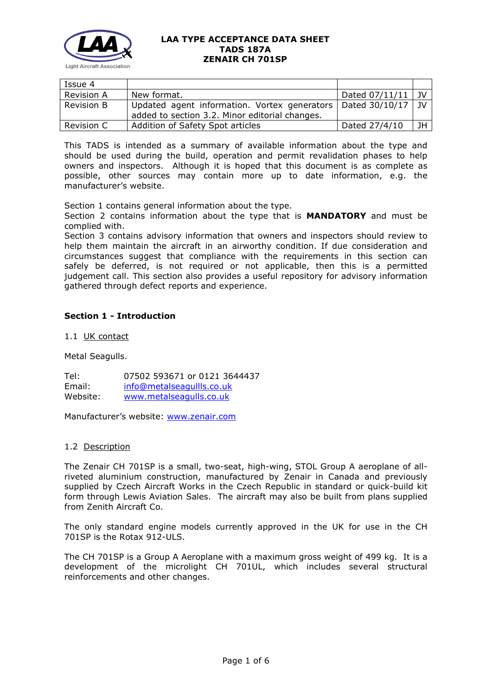

| Issue 4           |                                                                                                                 |                |      |
|-------------------|-----------------------------------------------------------------------------------------------------------------|----------------|------|
| <b>Revision A</b> | New format.                                                                                                     | Dated 07/11/11 | 1 JV |
| <b>Revision B</b> | Updated agent information. Vortex generators   Dated 30/10/17<br>added to section 3.2. Minor editorial changes. |                | - IV |
| Revision C        | Addition of Safety Spot articles                                                                                | Dated 27/4/10  | JН   |

This TADS is intended as a summary of available information about the type and should be used during the build, operation and permit revalidation phases to help owners and inspectors. Although it is hoped that this document is as complete as possible, other sources may contain more up to date information, e.g. the manufacturer's website.

Section 1 contains general information about the type.

Section 2 contains information about the type that is **MANDATORY** and must be complied with.

Section 3 contains advisory information that owners and inspectors should review to help them maintain the aircraft in an airworthy condition. If due consideration and circumstances suggest that compliance with the requirements in this section can safely be deferred, is not required or not applicable, then this is a permitted judgement call. This section also provides a useful repository for advisory information gathered through defect reports and experience.

# **Section 1 - Introduction**

1.1 UK contact

Metal Seagulls.

Tel: 07502 593671 or 0121 3644437 Email: [info@metalseagullls.co.uk](mailto:info@metalseagullls.co.uk) Website: [www.metalseagulls.co.uk](http://www.metalseagulls.co.uk/)

Manufacturer's website: [www.zenair.com](http://www.zenair.com/)

#### 1.2 Description

The Zenair CH 701SP is a small, two-seat, high-wing, STOL Group A aeroplane of allriveted aluminium construction, manufactured by Zenair in Canada and previously supplied by Czech Aircraft Works in the Czech Republic in standard or quick-build kit form through Lewis Aviation Sales. The aircraft may also be built from plans supplied from Zenith Aircraft Co.

The only standard engine models currently approved in the UK for use in the CH 701SP is the Rotax 912-ULS.

The CH 701SP is a Group A Aeroplane with a maximum gross weight of 499 kg. It is a development of the microlight CH 701UL, which includes several structural reinforcements and other changes.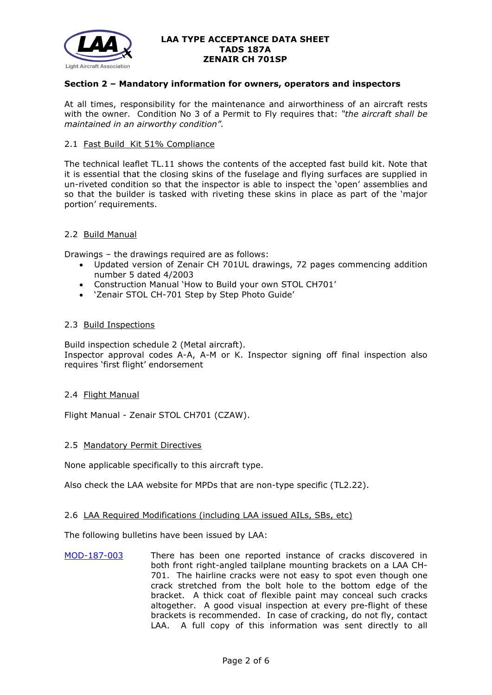

# **Section 2 – Mandatory information for owners, operators and inspectors**

At all times, responsibility for the maintenance and airworthiness of an aircraft rests with the owner. Condition No 3 of a Permit to Fly requires that: *"the aircraft shall be maintained in an airworthy condition".* 

#### 2.1 Fast Build Kit 51% Compliance

The technical leaflet TL.11 shows the contents of the accepted fast build kit. Note that it is essential that the closing skins of the fuselage and flying surfaces are supplied in un-riveted condition so that the inspector is able to inspect the 'open' assemblies and so that the builder is tasked with riveting these skins in place as part of the 'major portion' requirements.

#### 2.2 Build Manual

Drawings – the drawings required are as follows:

- Updated version of Zenair CH 701UL drawings, 72 pages commencing addition number 5 dated 4/2003
- Construction Manual 'How to Build your own STOL CH701'
- 'Zenair STOL CH-701 Step by Step Photo Guide'

# 2.3 Build Inspections

Build inspection schedule 2 (Metal aircraft). Inspector approval codes A-A, A-M or K. Inspector signing off final inspection also requires 'first flight' endorsement

# 2.4 Flight Manual

Flight Manual - Zenair STOL CH701 (CZAW).

#### 2.5 Mandatory Permit Directives

None applicable specifically to this aircraft type.

Also check the LAA website for MPDs that are non-type specific (TL2.22).

#### 2.6 LAA Required Modifications (including LAA issued AILs, SBs, etc)

The following bulletins have been issued by LAA:

[MOD-187-003](http://www.lightaircraftassociation.co.uk/engineering/TADs/187A/mod187003.pdf) There has been one reported instance of cracks discovered in both front right-angled tailplane mounting brackets on a LAA CH-701. The hairline cracks were not easy to spot even though one crack stretched from the bolt hole to the bottom edge of the bracket. A thick coat of flexible paint may conceal such cracks altogether. A good visual inspection at every pre-flight of these brackets is recommended. In case of cracking, do not fly, contact LAA. A full copy of this information was sent directly to all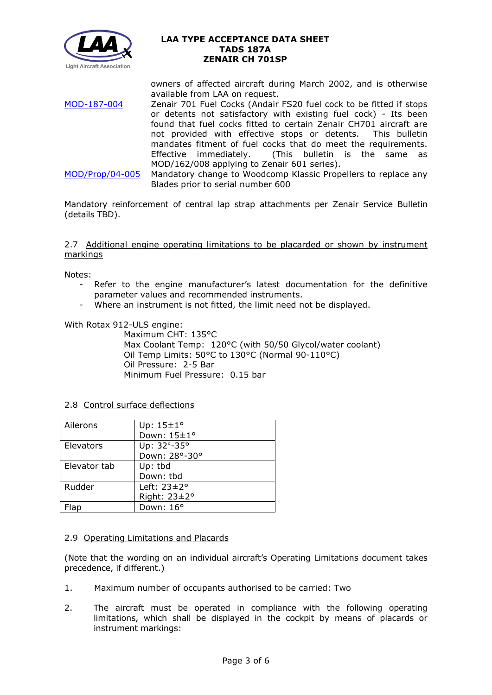

owners of affected aircraft during March 2002, and is otherwise available from LAA on request.

[MOD-187-004](http://www.lightaircraftassociation.co.uk/engineering/TADs/187A/mod187004.pdf) Zenair 701 Fuel Cocks (Andair FS20 fuel cock to be fitted if stops or detents not satisfactory with existing fuel cock) - Its been found that fuel cocks fitted to certain Zenair CH701 aircraft are not provided with effective stops or detents. This bulletin mandates fitment of fuel cocks that do meet the requirements.<br>Effective immediately. (This bulletin is the same as (This bulletin is the same as MOD/162/008 applying to Zenair 601 series). [MOD/Prop/04-005](http://www.lightaircraftassociation.co.uk/engineering/TADs/187A/modprop04005.pdf) Mandatory change to Woodcomp Klassic Propellers to replace any

Blades prior to serial number 600

Mandatory reinforcement of central lap strap attachments per Zenair Service Bulletin (details TBD).

2.7 Additional engine operating limitations to be placarded or shown by instrument markings

Notes:

- Refer to the engine manufacturer's latest documentation for the definitive parameter values and recommended instruments.
- Where an instrument is not fitted, the limit need not be displayed.

With Rotax 912-ULS engine:

Maximum CHT: 135°C Max Coolant Temp: 120°C (with 50/50 Glycol/water coolant) Oil Temp Limits: 50°C to 130°C (Normal 90-110°C) Oil Pressure: 2-5 Bar Minimum Fuel Pressure: 0.15 bar

2.8 Control surface deflections

| Ailerons     | Up: $15 \pm 1^{\circ}$   |
|--------------|--------------------------|
|              | Down: 15±1°              |
| Elevators    | Up: 32°-35°              |
|              | Down: 28°-30°            |
| Elevator tab | Up: tbd                  |
|              | Down: tbd                |
| Rudder       | Left: $23 \pm 2^{\circ}$ |
|              | Right: 23±2°             |
|              | Down: 16°                |

# 2.9 Operating Limitations and Placards

(Note that the wording on an individual aircraft's Operating Limitations document takes precedence, if different.)

- 1. Maximum number of occupants authorised to be carried: Two
- 2. The aircraft must be operated in compliance with the following operating limitations, which shall be displayed in the cockpit by means of placards or instrument markings: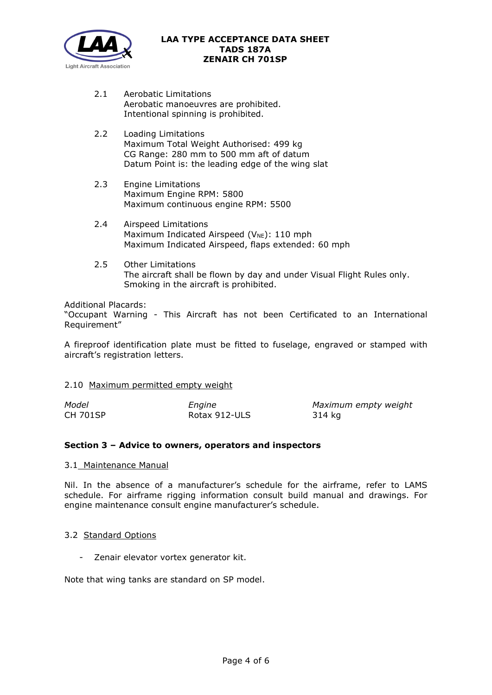

- 2.1 Aerobatic Limitations Aerobatic manoeuvres are prohibited. Intentional spinning is prohibited.
- 2.2 Loading Limitations Maximum Total Weight Authorised: 499 kg CG Range: 280 mm to 500 mm aft of datum Datum Point is: the leading edge of the wing slat
- 2.3 Engine Limitations Maximum Engine RPM: 5800 Maximum continuous engine RPM: 5500
- 2.4 Airspeed Limitations Maximum Indicated Airspeed ( $V_{NE}$ ): 110 mph Maximum Indicated Airspeed, flaps extended: 60 mph
- 2.5 Other Limitations The aircraft shall be flown by day and under Visual Flight Rules only. Smoking in the aircraft is prohibited.

Additional Placards:

"Occupant Warning - This Aircraft has not been Certificated to an International Requirement"

A fireproof identification plate must be fitted to fuselage, engraved or stamped with aircraft's registration letters.

# 2.10 Maximum permitted empty weight

| Model           | Engine        | Maximum empty weight |
|-----------------|---------------|----------------------|
| <b>CH 701SP</b> | Rotax 912-ULS | 314 kg               |

# **Section 3 – Advice to owners, operators and inspectors**

# 3.1 Maintenance Manual

Nil. In the absence of a manufacturer's schedule for the airframe, refer to LAMS schedule. For airframe rigging information consult build manual and drawings. For engine maintenance consult engine manufacturer's schedule.

# 3.2 Standard Options

- Zenair elevator vortex generator kit.

Note that wing tanks are standard on SP model.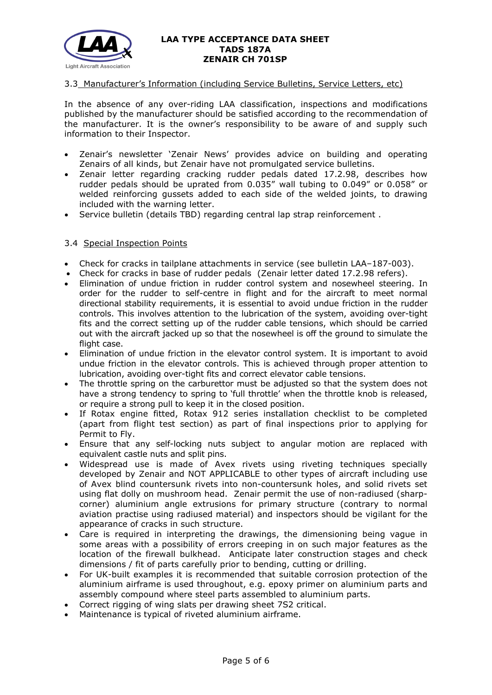

# 3.3 Manufacturer's Information (including Service Bulletins, Service Letters, etc)

In the absence of any over-riding LAA classification, inspections and modifications published by the manufacturer should be satisfied according to the recommendation of the manufacturer. It is the owner's responsibility to be aware of and supply such information to their Inspector.

- Zenair's newsletter 'Zenair News' provides advice on building and operating Zenairs of all kinds, but Zenair have not promulgated service bulletins.
- Zenair letter regarding cracking rudder pedals dated 17.2.98, describes how rudder pedals should be uprated from 0.035" wall tubing to 0.049" or 0.058" or welded reinforcing gussets added to each side of the welded joints, to drawing included with the warning letter.
- Service bulletin (details TBD) regarding central lap strap reinforcement .

# 3.4 Special Inspection Points

- Check for cracks in tailplane attachments in service (see bulletin LAA–187-003).
- Check for cracks in base of rudder pedals (Zenair letter dated 17.2.98 refers).
- Elimination of undue friction in rudder control system and nosewheel steering. In order for the rudder to self-centre in flight and for the aircraft to meet normal directional stability requirements, it is essential to avoid undue friction in the rudder controls. This involves attention to the lubrication of the system, avoiding over-tight fits and the correct setting up of the rudder cable tensions, which should be carried out with the aircraft jacked up so that the nosewheel is off the ground to simulate the flight case.
- Elimination of undue friction in the elevator control system. It is important to avoid undue friction in the elevator controls. This is achieved through proper attention to lubrication, avoiding over-tight fits and correct elevator cable tensions.
- The throttle spring on the carburettor must be adjusted so that the system does not have a strong tendency to spring to 'full throttle' when the throttle knob is released, or require a strong pull to keep it in the closed position.
- If Rotax engine fitted, Rotax 912 series installation checklist to be completed (apart from flight test section) as part of final inspections prior to applying for Permit to Fly.
- Ensure that any self-locking nuts subject to angular motion are replaced with equivalent castle nuts and split pins.
- Widespread use is made of Avex rivets using riveting techniques specially developed by Zenair and NOT APPLICABLE to other types of aircraft including use of Avex blind countersunk rivets into non-countersunk holes, and solid rivets set using flat dolly on mushroom head. Zenair permit the use of non-radiused (sharpcorner) aluminium angle extrusions for primary structure (contrary to normal aviation practise using radiused material) and inspectors should be vigilant for the appearance of cracks in such structure.
- Care is required in interpreting the drawings, the dimensioning being vague in some areas with a possibility of errors creeping in on such major features as the location of the firewall bulkhead. Anticipate later construction stages and check dimensions / fit of parts carefully prior to bending, cutting or drilling.
- For UK-built examples it is recommended that suitable corrosion protection of the aluminium airframe is used throughout, e.g. epoxy primer on aluminium parts and assembly compound where steel parts assembled to aluminium parts.
- Correct rigging of wing slats per drawing sheet 7S2 critical.
- Maintenance is typical of riveted aluminium airframe.